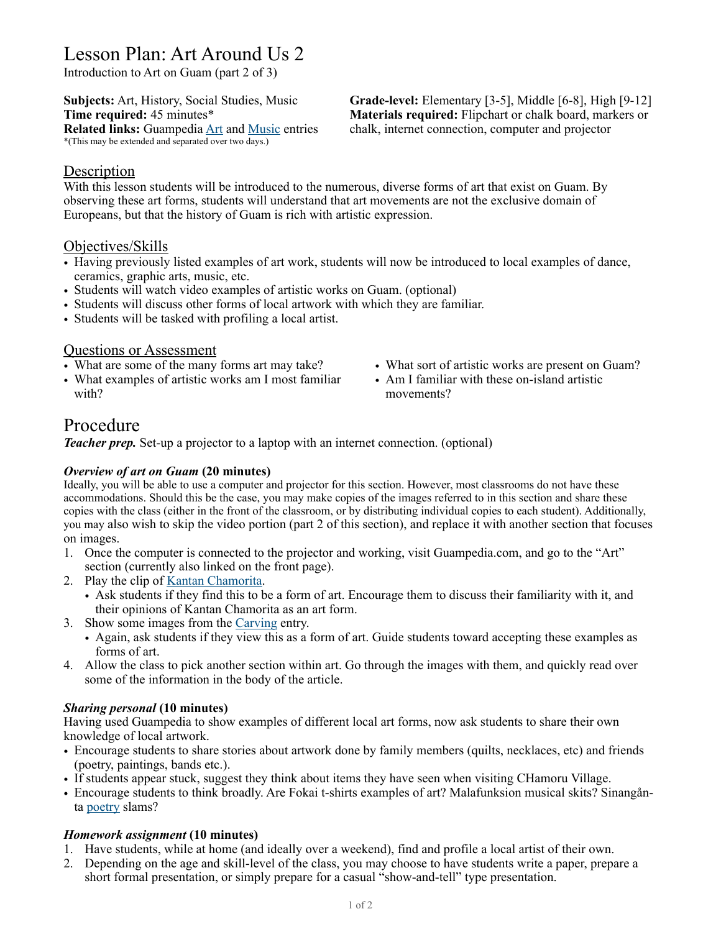# Lesson Plan: Art Around Us 2

Introduction to Art on Guam (part 2 of 3)

\*(This may be extended and separated over two days.)

**Subjects:** Art, History, Social Studies, Music **Grade-level:** Elementary [3-5], Middle [6-8], High [9-12] **Time required:** 45 minutes\* **Materials required:** Flipchart or chalk board, markers or **Related links:** Guampedia [Art](https://www.guampedia.com/art/) and [Music](https://www.guampedia.com/category/art-architecture-music-food/music/) entries chalk, internet connection, computer and projector

## **Description**

With this lesson students will be introduced to the numerous, diverse forms of art that exist on Guam. By observing these art forms, students will understand that art movements are not the exclusive domain of Europeans, but that the history of Guam is rich with artistic expression.

## Objectives/Skills

- Having previously listed examples of art work, students will now be introduced to local examples of dance, ceramics, graphic arts, music, etc.
- Students will watch video examples of artistic works on Guam. (optional)
- Students will discuss other forms of local artwork with which they are familiar.
- Students will be tasked with profiling a local artist.

### Questions or Assessment

- What are some of the many forms art may take?
- What examples of artistic works am I most familiar with?
- What sort of artistic works are present on Guam?
- Am I familiar with these on-island artistic movements?

# Procedure

*Teacher prep.* Set-up a projector to a laptop with an internet connection. (optional)

### *Overview of art on Guam* **(20 minutes)**

Ideally, you will be able to use a computer and projector for this section. However, most classrooms do not have these accommodations. Should this be the case, you may make copies of the images referred to in this section and share these copies with the class (either in the front of the classroom, or by distributing individual copies to each student). Additionally, you may also wish to skip the video portion (part 2 of this section), and replace it with another section that focuses on images.

- 1. Once the computer is connected to the projector and working, visit Guampedia.com, and go to the "Art" section (currently also linked on the front page).
- 2. Play the clip of [Kantan Chamorita.](https://www.guampedia.com/kantan-chamorita-2/)
	- Ask students if they find this to be a form of art. Encourage them to discuss their familiarity with it, and their opinions of Kantan Chamorita as an art form.
- 3. Show some images from the [Carving](https://www.guampedia.com/carving/) entry.
	- Again, ask students if they view this as a form of art. Guide students toward accepting these examples as forms of art.
- 4. Allow the class to pick another section within art. Go through the images with them, and quickly read over some of the information in the body of the article.

### *Sharing personal* **(10 minutes)**

Having used Guampedia to show examples of different local art forms, now ask students to share their own knowledge of local artwork.

- Encourage students to share stories about artwork done by family members (quilts, necklaces, etc) and friends (poetry, paintings, bands etc.).
- If students appear stuck, suggest they think about items they have seen when visiting CHamoru Village.
- Encourage students to think broadly. Are Fokai t-shirts examples of art? Malafunksion musical skits? Sinangånta [poetry](https://www.guampedia.com/poetryspoken-word/) slams?

### *Homework assignment* **(10 minutes)**

- 1. Have students, while at home (and ideally over a weekend), find and profile a local artist of their own.
- 2. Depending on the age and skill-level of the class, you may choose to have students write a paper, prepare a short formal presentation, or simply prepare for a casual "show-and-tell" type presentation.